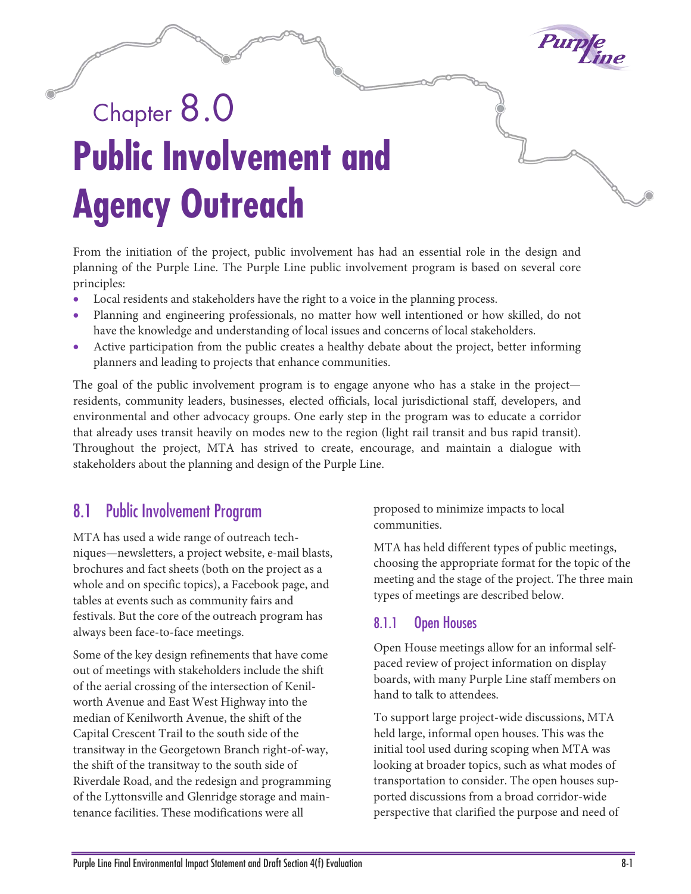

# Chapter 8.0 **Public Involvement and Agency Outreach**

From the initiation of the project, public involvement has had an essential role in the design and planning of the Purple Line. The Purple Line public involvement program is based on several core principles:

- Local residents and stakeholders have the right to a voice in the planning process.
- Planning and engineering professionals, no matter how well intentioned or how skilled, do not have the knowledge and understanding of local issues and concerns of local stakeholders.
- Active participation from the public creates a healthy debate about the project, better informing planners and leading to projects that enhance communities.

The goal of the public involvement program is to engage anyone who has a stake in the project residents, community leaders, businesses, elected officials, local jurisdictional staff, developers, and environmental and other advocacy groups. One early step in the program was to educate a corridor that already uses transit heavily on modes new to the region (light rail transit and bus rapid transit). Throughout the project, MTA has strived to create, encourage, and maintain a dialogue with stakeholders about the planning and design of the Purple Line.

## 8.1 Public Involvement Program

MTA has used a wide range of outreach techniques—newsletters, a project website, e-mail blasts, brochures and fact sheets (both on the project as a whole and on specific topics), a Facebook page, and tables at events such as community fairs and festivals. But the core of the outreach program has always been face-to-face meetings.

Some of the key design refinements that have come out of meetings with stakeholders include the shift of the aerial crossing of the intersection of Kenilworth Avenue and East West Highway into the median of Kenilworth Avenue, the shift of the Capital Crescent Trail to the south side of the transitway in the Georgetown Branch right-of-way, the shift of the transitway to the south side of Riverdale Road, and the redesign and programming of the Lyttonsville and Glenridge storage and maintenance facilities. These modifications were all

proposed to minimize impacts to local communities.

MTA has held different types of public meetings, choosing the appropriate format for the topic of the meeting and the stage of the project. The three main types of meetings are described below.

#### 8.1.1 Open Houses

Open House meetings allow for an informal selfpaced review of project information on display boards, with many Purple Line staff members on hand to talk to attendees.

To support large project-wide discussions, MTA held large, informal open houses. This was the initial tool used during scoping when MTA was looking at broader topics, such as what modes of transportation to consider. The open houses supported discussions from a broad corridor-wide perspective that clarified the purpose and need of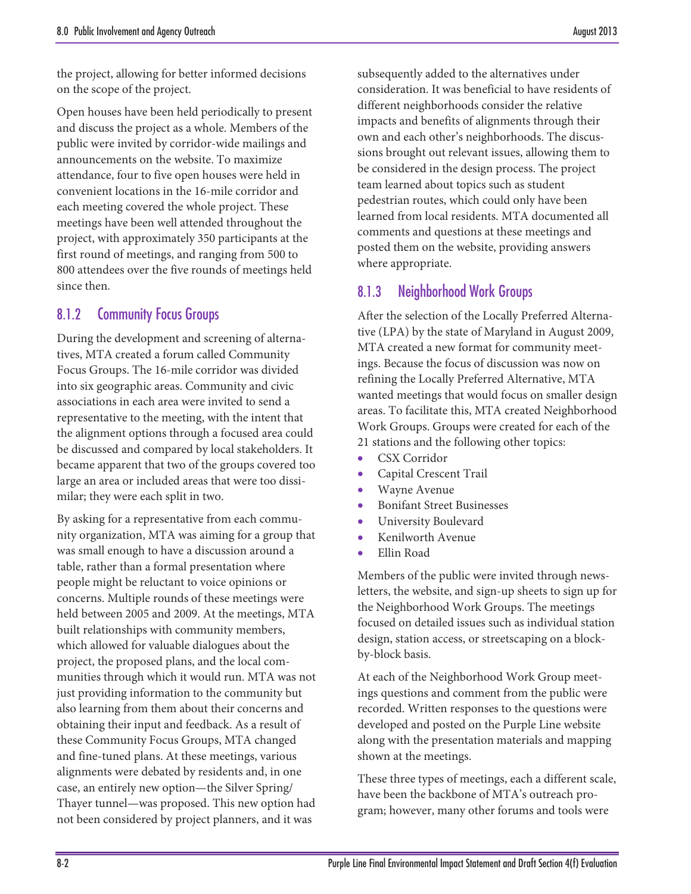the project, allowing for better informed decisions on the scope of the project.

Open houses have been held periodically to present and discuss the project as a whole. Members of the public were invited by corridor-wide mailings and announcements on the website. To maximize attendance, four to five open houses were held in convenient locations in the 16-mile corridor and each meeting covered the whole project. These meetings have been well attended throughout the project, with approximately 350 participants at the first round of meetings, and ranging from 500 to 800 attendees over the five rounds of meetings held since then.

#### 8.1.2 Community Focus Groups

During the development and screening of alternatives, MTA created a forum called Community Focus Groups. The 16-mile corridor was divided into six geographic areas. Community and civic associations in each area were invited to send a representative to the meeting, with the intent that the alignment options through a focused area could be discussed and compared by local stakeholders. It became apparent that two of the groups covered too large an area or included areas that were too dissimilar; they were each split in two.

By asking for a representative from each community organization, MTA was aiming for a group that was small enough to have a discussion around a table, rather than a formal presentation where people might be reluctant to voice opinions or concerns. Multiple rounds of these meetings were held between 2005 and 2009. At the meetings, MTA built relationships with community members, which allowed for valuable dialogues about the project, the proposed plans, and the local communities through which it would run. MTA was not just providing information to the community but also learning from them about their concerns and obtaining their input and feedback. As a result of these Community Focus Groups, MTA changed and fine-tuned plans. At these meetings, various alignments were debated by residents and, in one case, an entirely new option—the Silver Spring/ Thayer tunnel—was proposed. This new option had not been considered by project planners, and it was

subsequently added to the alternatives under consideration. It was beneficial to have residents of different neighborhoods consider the relative impacts and benefits of alignments through their own and each other's neighborhoods. The discussions brought out relevant issues, allowing them to be considered in the design process. The project team learned about topics such as student pedestrian routes, which could only have been learned from local residents. MTA documented all comments and questions at these meetings and posted them on the website, providing answers where appropriate.

## 8.1.3 Neighborhood Work Groups

After the selection of the Locally Preferred Alternative (LPA) by the state of Maryland in August 2009, MTA created a new format for community meetings. Because the focus of discussion was now on refining the Locally Preferred Alternative, MTA wanted meetings that would focus on smaller design areas. To facilitate this, MTA created Neighborhood Work Groups. Groups were created for each of the 21 stations and the following other topics:

- CSX Corridor
- Capital Crescent Trail
- Wayne Avenue
- Bonifant Street Businesses
- University Boulevard
- Kenilworth Avenue
- Ellin Road

Members of the public were invited through newsletters, the website, and sign-up sheets to sign up for the Neighborhood Work Groups. The meetings focused on detailed issues such as individual station design, station access, or streetscaping on a blockby-block basis.

At each of the Neighborhood Work Group meetings questions and comment from the public were recorded. Written responses to the questions were developed and posted on the Purple Line website along with the presentation materials and mapping shown at the meetings.

These three types of meetings, each a different scale, have been the backbone of MTA's outreach program; however, many other forums and tools were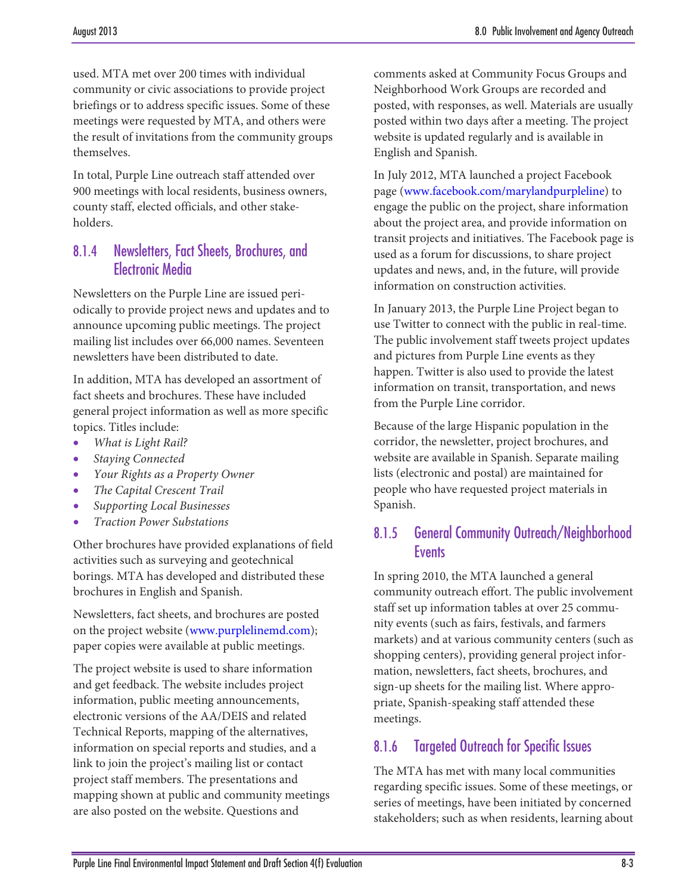used. MTA met over 200 times with individual community or civic associations to provide project briefings or to address specific issues. Some of these meetings were requested by MTA, and others were the result of invitations from the community groups themselves.

In total, Purple Line outreach staff attended over 900 meetings with local residents, business owners, county staff, elected officials, and other stakeholders.

## 8.1.4 Newsletters, Fact Sheets, Brochures, and Electronic Media

Newsletters on the Purple Line are issued periodically to provide project news and updates and to announce upcoming public meetings. The project mailing list includes over 66,000 names. Seventeen newsletters have been distributed to date.

In addition, MTA has developed an assortment of fact sheets and brochures. These have included general project information as well as more specific topics. Titles include:

- *What is Light Rail?*
- *Staying Connected*
- *Your Rights as a Property Owner*
- *The Capital Crescent Trail*
- *Supporting Local Businesses*
- *Traction Power Substations*

Other brochures have provided explanations of field activities such as surveying and geotechnical borings. MTA has developed and distributed these brochures in English and Spanish.

Newsletters, fact sheets, and brochures are posted on the project website [\(www.purplelinemd.com\)](http://www.purplelinemd.com/); paper copies were available at public meetings.

The project website is used to share information and get feedback. The website includes project information, public meeting announcements, electronic versions of the AA/DEIS and related Technical Reports, mapping of the alternatives, information on special reports and studies, and a link to join the project's mailing list or contact project staff members. The presentations and mapping shown at public and community meetings are also posted on the website. Questions and

comments asked at Community Focus Groups and Neighborhood Work Groups are recorded and posted, with responses, as well. Materials are usually posted within two days after a meeting. The project website is updated regularly and is available in English and Spanish.

In July 2012, MTA launched a project Facebook page [\(www.facebook.com/marylandpurpleline\)](http://www.facebook.com/marylandpurpleline) to engage the public on the project, share information about the project area, and provide information on transit projects and initiatives. The Facebook page is used as a forum for discussions, to share project updates and news, and, in the future, will provide information on construction activities.

In January 2013, the Purple Line Project began to use Twitter to connect with the public in real-time. The public involvement staff tweets project updates and pictures from Purple Line events as they happen. Twitter is also used to provide the latest information on transit, transportation, and news from the Purple Line corridor.

Because of the large Hispanic population in the corridor, the newsletter, project brochures, and website are available in Spanish. Separate mailing lists (electronic and postal) are maintained for people who have requested project materials in Spanish.

### 8.1.5 General Community Outreach/Neighborhood **F**vents

In spring 2010, the MTA launched a general community outreach effort. The public involvement staff set up information tables at over 25 community events (such as fairs, festivals, and farmers markets) and at various community centers (such as shopping centers), providing general project information, newsletters, fact sheets, brochures, and sign-up sheets for the mailing list. Where appropriate, Spanish-speaking staff attended these meetings.

## 8.1.6 Targeted Outreach for Specific Issues

The MTA has met with many local communities regarding specific issues. Some of these meetings, or series of meetings, have been initiated by concerned stakeholders; such as when residents, learning about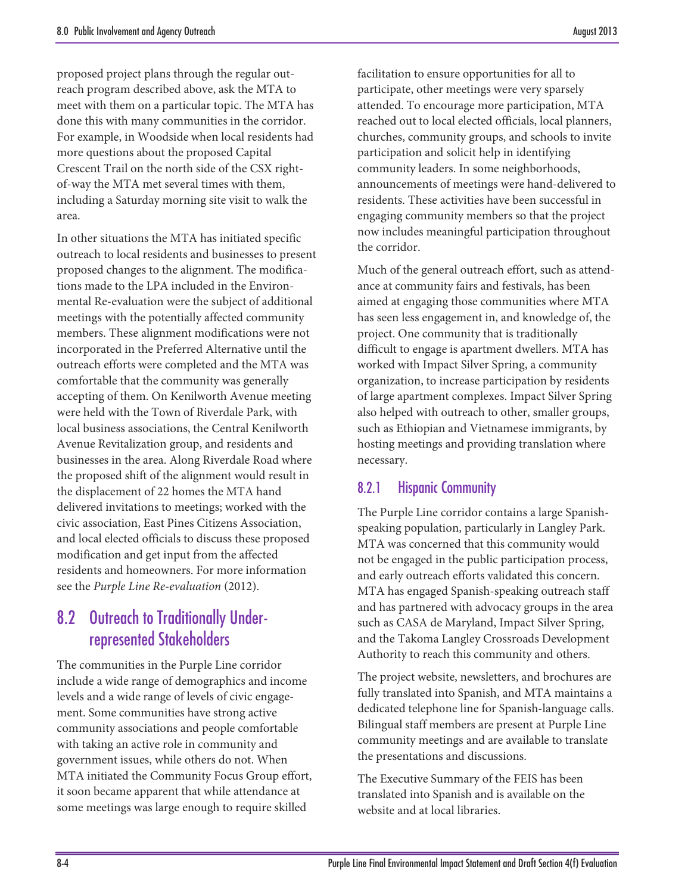proposed project plans through the regular outreach program described above, ask the MTA to meet with them on a particular topic. The MTA has done this with many communities in the corridor. For example, in Woodside when local residents had more questions about the proposed Capital Crescent Trail on the north side of the CSX rightof-way the MTA met several times with them, including a Saturday morning site visit to walk the area.

In other situations the MTA has initiated specific outreach to local residents and businesses to present proposed changes to the alignment. The modifications made to the LPA included in the Environmental Re-evaluation were the subject of additional meetings with the potentially affected community members. These alignment modifications were not incorporated in the Preferred Alternative until the outreach efforts were completed and the MTA was comfortable that the community was generally accepting of them. On Kenilworth Avenue meeting were held with the Town of Riverdale Park, with local business associations, the Central Kenilworth Avenue Revitalization group, and residents and businesses in the area. Along Riverdale Road where the proposed shift of the alignment would result in the displacement of 22 homes the MTA hand delivered invitations to meetings; worked with the civic association, East Pines Citizens Association, and local elected officials to discuss these proposed modification and get input from the affected residents and homeowners. For more information see the *Purple Line Re-evaluation* (2012).

# 8.2 Outreach to Traditionally Underrepresented Stakeholders

The communities in the Purple Line corridor include a wide range of demographics and income levels and a wide range of levels of civic engagement. Some communities have strong active community associations and people comfortable with taking an active role in community and government issues, while others do not. When MTA initiated the Community Focus Group effort, it soon became apparent that while attendance at some meetings was large enough to require skilled

facilitation to ensure opportunities for all to participate, other meetings were very sparsely attended. To encourage more participation, MTA reached out to local elected officials, local planners, churches, community groups, and schools to invite participation and solicit help in identifying community leaders. In some neighborhoods, announcements of meetings were hand-delivered to residents. These activities have been successful in engaging community members so that the project now includes meaningful participation throughout the corridor.

Much of the general outreach effort, such as attendance at community fairs and festivals, has been aimed at engaging those communities where MTA has seen less engagement in, and knowledge of, the project. One community that is traditionally difficult to engage is apartment dwellers. MTA has worked with Impact Silver Spring, a community organization, to increase participation by residents of large apartment complexes. Impact Silver Spring also helped with outreach to other, smaller groups, such as Ethiopian and Vietnamese immigrants, by hosting meetings and providing translation where necessary.

## 8.2.1 Hispanic Community

The Purple Line corridor contains a large Spanishspeaking population, particularly in Langley Park. MTA was concerned that this community would not be engaged in the public participation process, and early outreach efforts validated this concern. MTA has engaged Spanish-speaking outreach staff and has partnered with advocacy groups in the area such as CASA de Maryland, Impact Silver Spring, and the Takoma Langley Crossroads Development Authority to reach this community and others.

The project website, newsletters, and brochures are fully translated into Spanish, and MTA maintains a dedicated telephone line for Spanish-language calls. Bilingual staff members are present at Purple Line community meetings and are available to translate the presentations and discussions.

The Executive Summary of the FEIS has been translated into Spanish and is available on the website and at local libraries.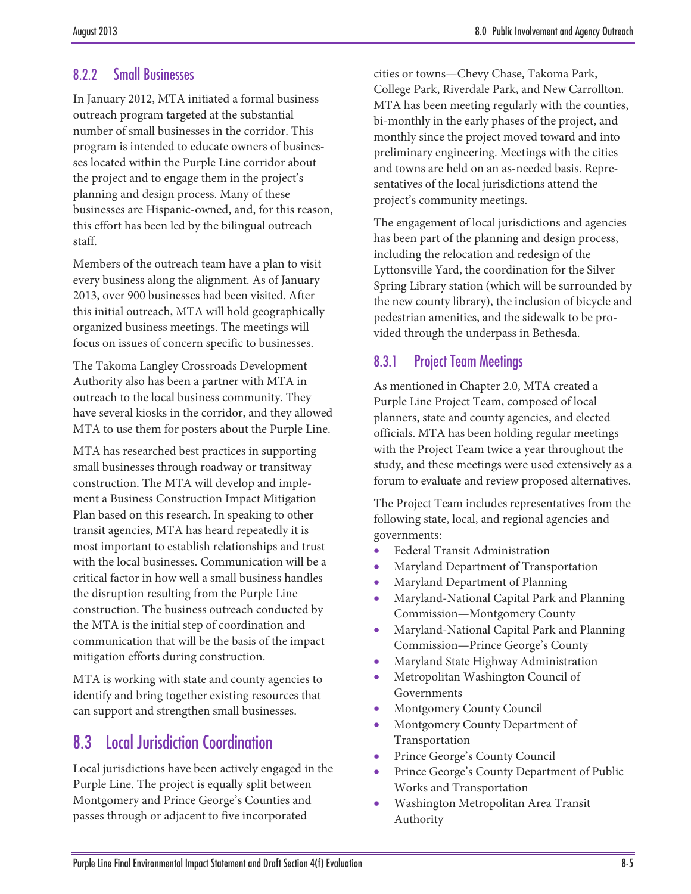## 8.2.2 Small Businesses

In January 2012, MTA initiated a formal business outreach program targeted at the substantial number of small businesses in the corridor. This program is intended to educate owners of businesses located within the Purple Line corridor about the project and to engage them in the project's planning and design process. Many of these businesses are Hispanic-owned, and, for this reason, this effort has been led by the bilingual outreach staff.

Members of the outreach team have a plan to visit every business along the alignment. As of January 2013, over 900 businesses had been visited. After this initial outreach, MTA will hold geographically organized business meetings. The meetings will focus on issues of concern specific to businesses.

The Takoma Langley Crossroads Development Authority also has been a partner with MTA in outreach to the local business community. They have several kiosks in the corridor, and they allowed MTA to use them for posters about the Purple Line.

MTA has researched best practices in supporting small businesses through roadway or transitway construction. The MTA will develop and implement a Business Construction Impact Mitigation Plan based on this research. In speaking to other transit agencies, MTA has heard repeatedly it is most important to establish relationships and trust with the local businesses. Communication will be a critical factor in how well a small business handles the disruption resulting from the Purple Line construction. The business outreach conducted by the MTA is the initial step of coordination and communication that will be the basis of the impact mitigation efforts during construction.

MTA is working with state and county agencies to identify and bring together existing resources that can support and strengthen small businesses.

# 8.3 Local Jurisdiction Coordination

Local jurisdictions have been actively engaged in the Purple Line. The project is equally split between Montgomery and Prince George's Counties and passes through or adjacent to five incorporated

cities or towns—Chevy Chase, Takoma Park, College Park, Riverdale Park, and New Carrollton. MTA has been meeting regularly with the counties, bi-monthly in the early phases of the project, and monthly since the project moved toward and into preliminary engineering. Meetings with the cities and towns are held on an as-needed basis. Representatives of the local jurisdictions attend the project's community meetings.

The engagement of local jurisdictions and agencies has been part of the planning and design process, including the relocation and redesign of the Lyttonsville Yard, the coordination for the Silver Spring Library station (which will be surrounded by the new county library), the inclusion of bicycle and pedestrian amenities, and the sidewalk to be provided through the underpass in Bethesda.

## 8.3.1 Project Team Meetings

As mentioned in Chapter 2.0, MTA created a Purple Line Project Team, composed of local planners, state and county agencies, and elected officials. MTA has been holding regular meetings with the Project Team twice a year throughout the study, and these meetings were used extensively as a forum to evaluate and review proposed alternatives.

The Project Team includes representatives from the following state, local, and regional agencies and governments:

- Federal Transit Administration
- Maryland Department of Transportation
- Maryland Department of Planning
- Maryland-National Capital Park and Planning Commission—Montgomery County
- Maryland-National Capital Park and Planning Commission—Prince George's County
- Maryland State Highway Administration
- Metropolitan Washington Council of Governments
- Montgomery County Council
- Montgomery County Department of Transportation
- Prince George's County Council
- Prince George's County Department of Public Works and Transportation
- Washington Metropolitan Area Transit Authority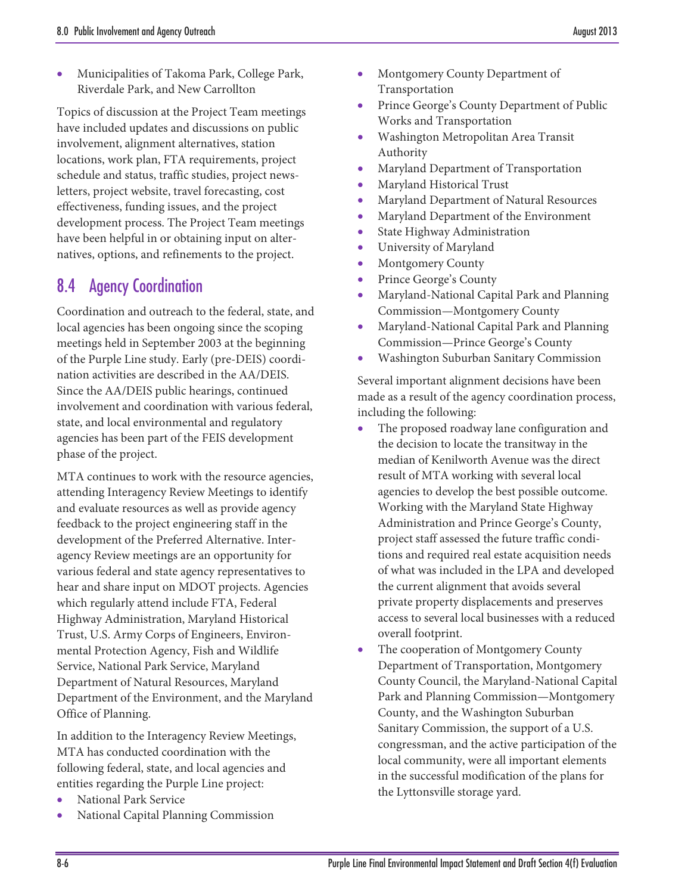• Municipalities of Takoma Park, College Park, Riverdale Park, and New Carrollton

Topics of discussion at the Project Team meetings have included updates and discussions on public involvement, alignment alternatives, station locations, work plan, FTA requirements, project schedule and status, traffic studies, project newsletters, project website, travel forecasting, cost effectiveness, funding issues, and the project development process. The Project Team meetings have been helpful in or obtaining input on alternatives, options, and refinements to the project.

## 8.4 Agency Coordination

Coordination and outreach to the federal, state, and local agencies has been ongoing since the scoping meetings held in September 2003 at the beginning of the Purple Line study. Early (pre-DEIS) coordination activities are described in the AA/DEIS. Since the AA/DEIS public hearings, continued involvement and coordination with various federal, state, and local environmental and regulatory agencies has been part of the FEIS development phase of the project.

MTA continues to work with the resource agencies, attending Interagency Review Meetings to identify and evaluate resources as well as provide agency feedback to the project engineering staff in the development of the Preferred Alternative. Interagency Review meetings are an opportunity for various federal and state agency representatives to hear and share input on MDOT projects. Agencies which regularly attend include FTA, Federal Highway Administration, Maryland Historical Trust, U.S. Army Corps of Engineers, Environmental Protection Agency, Fish and Wildlife Service, National Park Service, Maryland Department of Natural Resources, Maryland Department of the Environment, and the Maryland Office of Planning.

In addition to the Interagency Review Meetings, MTA has conducted coordination with the following federal, state, and local agencies and entities regarding the Purple Line project:

- National Park Service
- National Capital Planning Commission
- Montgomery County Department of Transportation
- Prince George's County Department of Public Works and Transportation
- Washington Metropolitan Area Transit Authority
- Maryland Department of Transportation
- Maryland Historical Trust
- Maryland Department of Natural Resources
- Maryland Department of the Environment
- State Highway Administration
- University of Maryland
- Montgomery County
- Prince George's County
- Maryland-National Capital Park and Planning Commission—Montgomery County
- Maryland-National Capital Park and Planning Commission—Prince George's County
- Washington Suburban Sanitary Commission

Several important alignment decisions have been made as a result of the agency coordination process, including the following:

- The proposed roadway lane configuration and the decision to locate the transitway in the median of Kenilworth Avenue was the direct result of MTA working with several local agencies to develop the best possible outcome. Working with the Maryland State Highway Administration and Prince George's County, project staff assessed the future traffic conditions and required real estate acquisition needs of what was included in the LPA and developed the current alignment that avoids several private property displacements and preserves access to several local businesses with a reduced overall footprint.
- The cooperation of Montgomery County Department of Transportation, Montgomery County Council, the Maryland-National Capital Park and Planning Commission—Montgomery County, and the Washington Suburban Sanitary Commission, the support of a U.S. congressman, and the active participation of the local community, were all important elements in the successful modification of the plans for the Lyttonsville storage yard.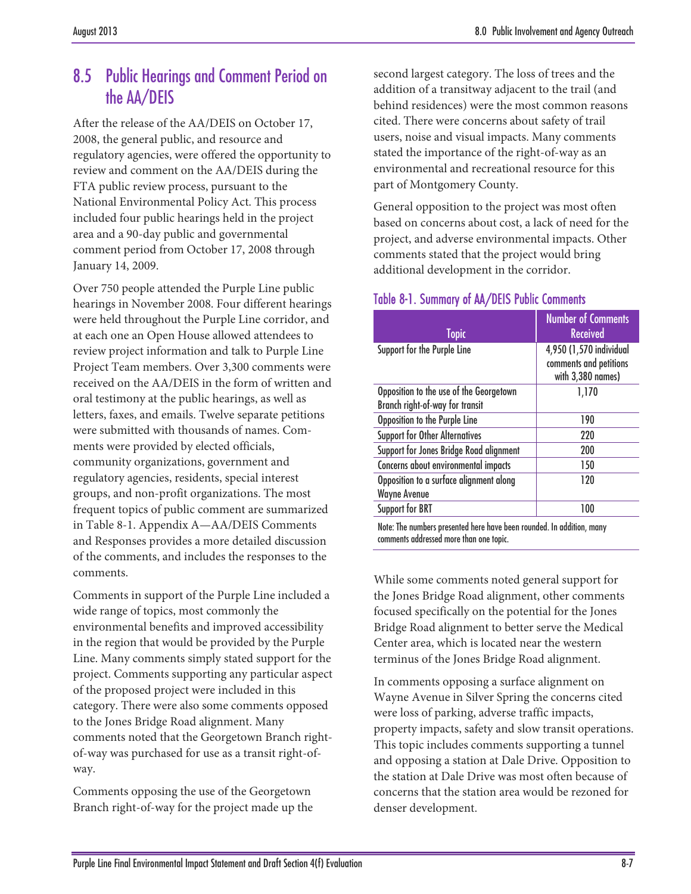# 8.5 Public Hearings and Comment Period on the AA/DEIS

After the release of the AA/DEIS on October 17, 2008, the general public, and resource and regulatory agencies, were offered the opportunity to review and comment on the AA/DEIS during the FTA public review process, pursuant to the National Environmental Policy Act. This process included four public hearings held in the project area and a 90-day public and governmental comment period from October 17, 2008 through January 14, 2009.

Over 750 people attended the Purple Line public hearings in November 2008. Four different hearings were held throughout the Purple Line corridor, and at each one an Open House allowed attendees to review project information and talk to Purple Line Project Team members. Over 3,300 comments were received on the AA/DEIS in the form of written and oral testimony at the public hearings, as well as letters, faxes, and emails. Twelve separate petitions were submitted with thousands of names. Comments were provided by elected officials, community organizations, government and regulatory agencies, residents, special interest groups, and non-profit organizations. The most frequent topics of public comment are summarized in [Table 8-1.](#page-6-0) Appendix A—AA/DEIS Comments and Responses provides a more detailed discussion of the comments, and includes the responses to the comments.

Comments in support of the Purple Line included a wide range of topics, most commonly the environmental benefits and improved accessibility in the region that would be provided by the Purple Line. Many comments simply stated support for the project. Comments supporting any particular aspect of the proposed project were included in this category. There were also some comments opposed to the Jones Bridge Road alignment. Many comments noted that the Georgetown Branch rightof-way was purchased for use as a transit right-ofway.

Comments opposing the use of the Georgetown Branch right-of-way for the project made up the second largest category. The loss of trees and the addition of a transitway adjacent to the trail (and behind residences) were the most common reasons cited. There were concerns about safety of trail users, noise and visual impacts. Many comments stated the importance of the right-of-way as an environmental and recreational resource for this part of Montgomery County.

General opposition to the project was most often based on concerns about cost, a lack of need for the project, and adverse environmental impacts. Other comments stated that the project would bring additional development in the corridor.

#### <span id="page-6-0"></span>Table 8-1. Summary of AA/DEIS Public Comments

| <b>Topic</b>                                                               | <b>Number of Comments</b><br><b>Received</b>                           |
|----------------------------------------------------------------------------|------------------------------------------------------------------------|
| Support for the Purple Line                                                | 4,950 (1,570 individual<br>comments and petitions<br>with 3,380 names) |
| Opposition to the use of the Georgetown<br>Branch right-of-way for transit | 1,170                                                                  |
| Opposition to the Purple Line                                              | 190                                                                    |
| <b>Support for Other Alternatives</b>                                      | 220                                                                    |
| Support for Jones Bridge Road alignment                                    | 200                                                                    |
| Concerns about environmental impacts                                       | 150                                                                    |
| Opposition to a surface alignment along<br><b>Wayne Avenue</b>             | 120                                                                    |
| Support for BRT                                                            | 100                                                                    |
|                                                                            |                                                                        |

Note: The numbers presented here have been rounded. In addition, many comments addressed more than one topic.

While some comments noted general support for the Jones Bridge Road alignment, other comments focused specifically on the potential for the Jones Bridge Road alignment to better serve the Medical Center area, which is located near the western terminus of the Jones Bridge Road alignment.

In comments opposing a surface alignment on Wayne Avenue in Silver Spring the concerns cited were loss of parking, adverse traffic impacts, property impacts, safety and slow transit operations. This topic includes comments supporting a tunnel and opposing a station at Dale Drive. Opposition to the station at Dale Drive was most often because of concerns that the station area would be rezoned for denser development.